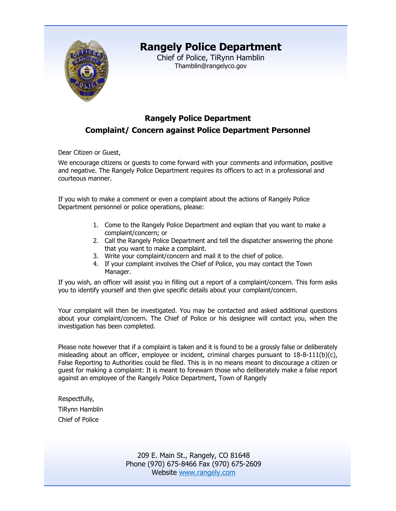

# **Rangely Police Department**

Chief of Police, TiRynn Hamblin Thamblin@rangelyco.gov

### **Rangely Police Department Complaint/ Concern against Police Department Personnel**

Dear Citizen or Guest,

We encourage citizens or guests to come forward with your comments and information, positive and negative. The Rangely Police Department requires its officers to act in a professional and courteous manner.

If you wish to make a comment or even a complaint about the actions of Rangely Police Department personnel or police operations, please:

- 1. Come to the Rangely Police Department and explain that you want to make a complaint/concern; or
- 2. Call the Rangely Police Department and tell the dispatcher answering the phone that you want to make a complaint.
- 3. Write your complaint/concern and mail it to the chief of police.
- 4. If your complaint involves the Chief of Police, you may contact the Town Manager.

If you wish, an officer will assist you in filling out a report of a complaint/concern. This form asks you to identify yourself and then give specific details about your complaint/concern.

Your complaint will then be investigated. You may be contacted and asked additional questions about your complaint/concern. The Chief of Police or his designee will contact you, when the investigation has been completed.

Please note however that if a complaint is taken and it is found to be a grossly false or deliberately misleading about an officer, employee or incident, criminal charges pursuant to 18-8-111(b)(c), False Reporting to Authorities could be filed. This is in no means meant to discourage a citizen or guest for making a complaint: It is meant to forewarn those who deliberately make a false report against an employee of the Rangely Police Department, Town of Rangely

Respectfully, TiRynn Hamblin Chief of Police

> 209 E. Main St., Rangely, CO 81648 Phone (970) 675-8466 Fax (970) 675-2609 Website [www.rangely.com](http://www.rangely.com/)